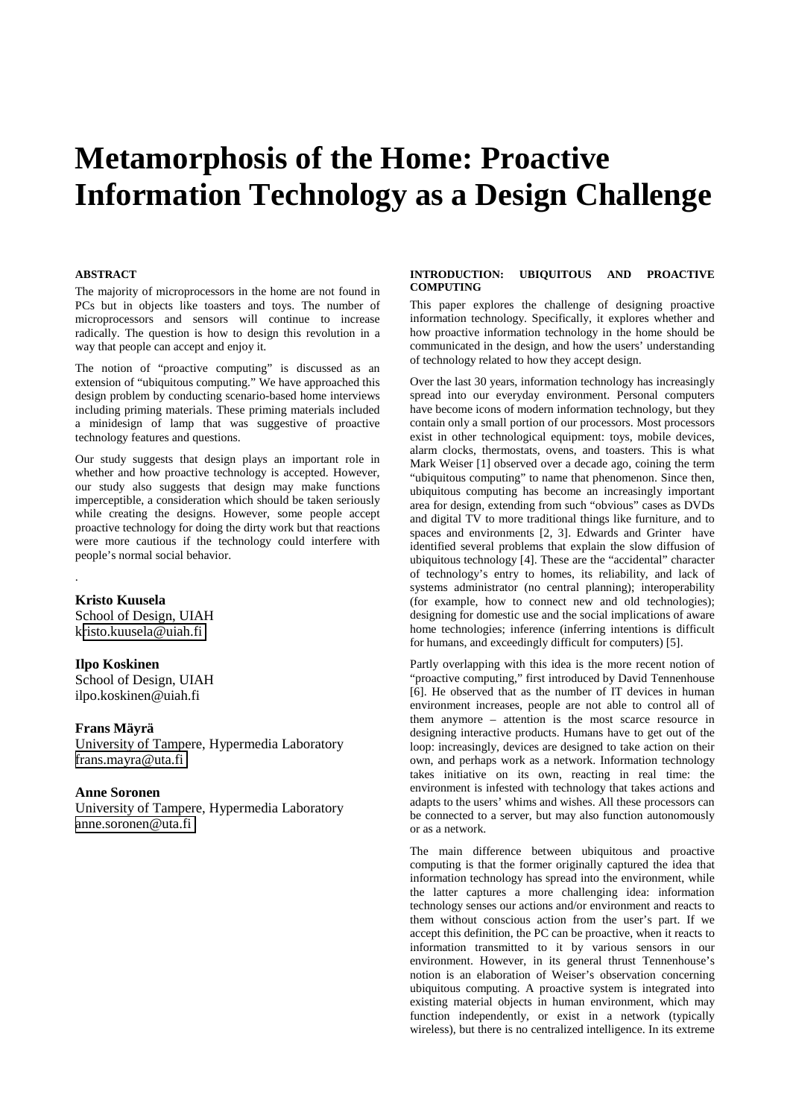# **Metamorphosis of the Home: Proactive Information Technology as a Design Challenge**

## **ABSTRACT**

The majority of microprocessors in the home are not found in PCs but in objects like toasters and toys. The number of microprocessors and sensors will continue to increase radically. The question is how to design this revolution in a way that people can accept and enjoy it.

The notion of "proactive computing" is discussed as an extension of "ubiquitous computing." We have approached this design problem by conducting scenario-based home interviews including priming materials. These priming materials included a minidesign of lamp that was suggestive of proactive technology features and questions.

Our study suggests that design plays an important role in whether and how proactive technology is accepted. However, our study also suggests that design may make functions imperceptible, a consideration which should be taken seriously while creating the designs. However, some people accept proactive technology for doing the dirty work but that reactions were more cautious if the technology could interfere with people's normal social behavior.

#### **Kristo Kuusela**

.

School of Design, UIAH k[risto.kuusela@uiah.fi](mailto:Kristo.kuusela@uiah.fi)

# **Ilpo Koskinen**

School of Design, UIAH ilpo.koskinen@uiah.fi

## **Frans Mäyrä**

University of Tampere, Hypermedia Laboratory [frans.mayra@uta.fi](mailto:Frans.mayra@uta.fi)

# **Anne Soronen**

University of Tampere, Hypermedia Laboratory [anne.soronen@uta.fi](mailto:Frans.mayra@uta.fi)

# **INTRODUCTION: UBIQUITOUS AND PROACTIVE COMPUTING**

This paper explores the challenge of designing proactive information technology. Specifically, it explores whether and how proactive information technology in the home should be communicated in the design, and how the users' understanding of technology related to how they accept design.

Over the last 30 years, information technology has increasingly spread into our everyday environment. Personal computers have become icons of modern information technology, but they contain only a small portion of our processors. Most processors exist in other technological equipment: toys, mobile devices, alarm clocks, thermostats, ovens, and toasters. This is what Mark Weiser [1] observed over a decade ago, coining the term "ubiquitous computing" to name that phenomenon. Since then, ubiquitous computing has become an increasingly important area for design, extending from such "obvious" cases as DVDs and digital TV to more traditional things like furniture, and to spaces and environments [2, 3]. Edwards and Grinter have identified several problems that explain the slow diffusion of ubiquitous technology [4]. These are the "accidental" character of technology's entry to homes, its reliability, and lack of systems administrator (no central planning); interoperability (for example, how to connect new and old technologies); designing for domestic use and the social implications of aware home technologies; inference (inferring intentions is difficult for humans, and exceedingly difficult for computers) [5].

Partly overlapping with this idea is the more recent notion of "proactive computing," first introduced by David Tennenhouse [6]. He observed that as the number of IT devices in human environment increases, people are not able to control all of them anymore – attention is the most scarce resource in designing interactive products. Humans have to get out of the loop: increasingly, devices are designed to take action on their own, and perhaps work as a network. Information technology takes initiative on its own, reacting in real time: the environment is infested with technology that takes actions and adapts to the users' whims and wishes. All these processors can be connected to a server, but may also function autonomously or as a network.

The main difference between ubiquitous and proactive computing is that the former originally captured the idea that information technology has spread into the environment, while the latter captures a more challenging idea: information technology senses our actions and/or environment and reacts to them without conscious action from the user's part. If we accept this definition, the PC can be proactive, when it reacts to information transmitted to it by various sensors in our environment. However, in its general thrust Tennenhouse's notion is an elaboration of Weiser's observation concerning ubiquitous computing. A proactive system is integrated into existing material objects in human environment, which may function independently, or exist in a network (typically wireless), but there is no centralized intelligence. In its extreme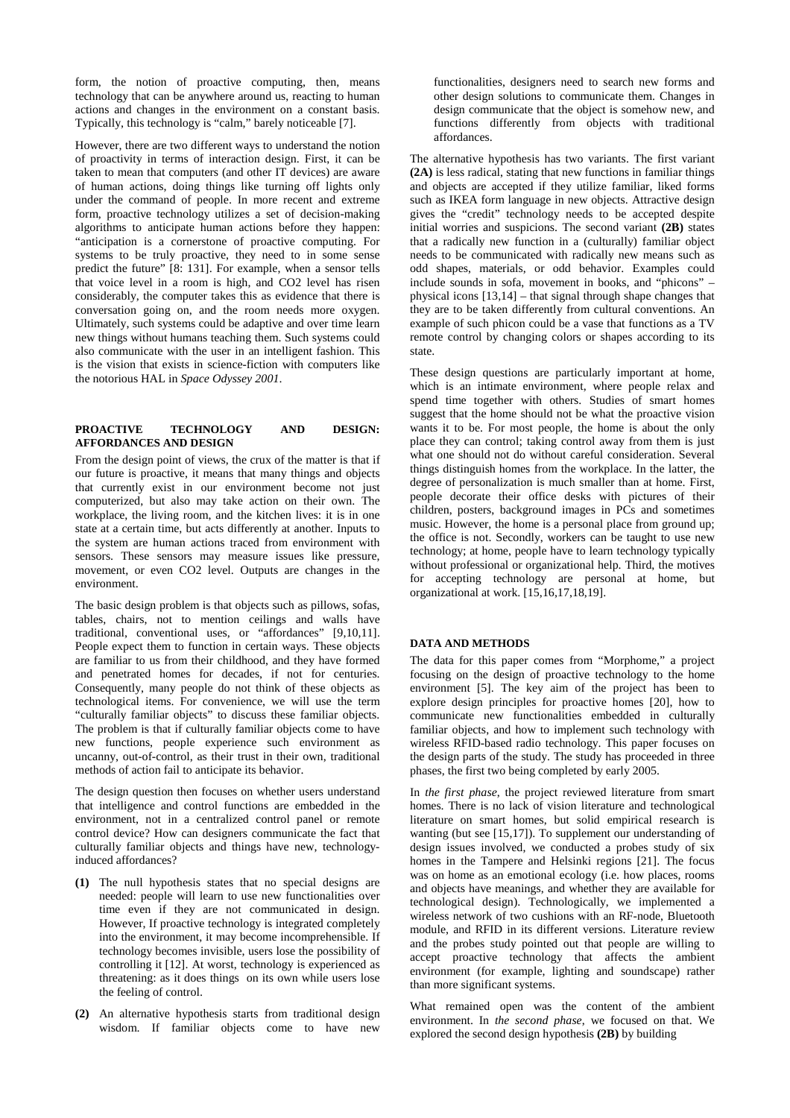form, the notion of proactive computing, then, means technology that can be anywhere around us, reacting to human actions and changes in the environment on a constant basis. Typically, this technology is "calm," barely noticeable [7].

However, there are two different ways to understand the notion of proactivity in terms of interaction design. First, it can be taken to mean that computers (and other IT devices) are aware of human actions, doing things like turning off lights only under the command of people. In more recent and extreme form, proactive technology utilizes a set of decision-making algorithms to anticipate human actions before they happen: "anticipation is a cornerstone of proactive computing. For systems to be truly proactive, they need to in some sense predict the future" [8: 131]. For example, when a sensor tells that voice level in a room is high, and CO2 level has risen considerably, the computer takes this as evidence that there is conversation going on, and the room needs more oxygen. Ultimately, such systems could be adaptive and over time learn new things without humans teaching them. Such systems could also communicate with the user in an intelligent fashion. This is the vision that exists in science-fiction with computers like the notorious HAL in *Space Odyssey 2001*.

# **PROACTIVE TECHNOLOGY AND DESIGN: AFFORDANCES AND DESIGN**

From the design point of views, the crux of the matter is that if our future is proactive, it means that many things and objects that currently exist in our environment become not just computerized, but also may take action on their own. The workplace, the living room, and the kitchen lives: it is in one state at a certain time, but acts differently at another. Inputs to the system are human actions traced from environment with sensors. These sensors may measure issues like pressure, movement, or even CO2 level. Outputs are changes in the environment.

The basic design problem is that objects such as pillows, sofas, tables, chairs, not to mention ceilings and walls have traditional, conventional uses, or "affordances" [9,10,11]. People expect them to function in certain ways. These objects are familiar to us from their childhood, and they have formed and penetrated homes for decades, if not for centuries. Consequently, many people do not think of these objects as technological items. For convenience, we will use the term "culturally familiar objects" to discuss these familiar objects. The problem is that if culturally familiar objects come to have new functions, people experience such environment as uncanny, out-of-control, as their trust in their own, traditional methods of action fail to anticipate its behavior.

The design question then focuses on whether users understand that intelligence and control functions are embedded in the environment, not in a centralized control panel or remote control device? How can designers communicate the fact that culturally familiar objects and things have new, technologyinduced affordances?

- **(1)** The null hypothesis states that no special designs are needed: people will learn to use new functionalities over time even if they are not communicated in design. However, If proactive technology is integrated completely into the environment, it may become incomprehensible. If technology becomes invisible, users lose the possibility of controlling it [12]. At worst, technology is experienced as threatening: as it does things on its own while users lose the feeling of control.
- **(2)** An alternative hypothesis starts from traditional design wisdom. If familiar objects come to have new

functionalities, designers need to search new forms and other design solutions to communicate them. Changes in design communicate that the object is somehow new, and functions differently from objects with traditional affordances.

The alternative hypothesis has two variants. The first variant **(2A)** is less radical, stating that new functions in familiar things and objects are accepted if they utilize familiar, liked forms such as IKEA form language in new objects. Attractive design gives the "credit" technology needs to be accepted despite initial worries and suspicions. The second variant **(2B)** states that a radically new function in a (culturally) familiar object needs to be communicated with radically new means such as odd shapes, materials, or odd behavior. Examples could include sounds in sofa, movement in books, and "phicons" – physical icons [13,14] – that signal through shape changes that they are to be taken differently from cultural conventions. An example of such phicon could be a vase that functions as a TV remote control by changing colors or shapes according to its state.

These design questions are particularly important at home, which is an intimate environment, where people relax and spend time together with others. Studies of smart homes suggest that the home should not be what the proactive vision wants it to be. For most people, the home is about the only place they can control; taking control away from them is just what one should not do without careful consideration. Several things distinguish homes from the workplace. In the latter, the degree of personalization is much smaller than at home. First, people decorate their office desks with pictures of their children, posters, background images in PCs and sometimes music. However, the home is a personal place from ground up; the office is not. Secondly, workers can be taught to use new technology; at home, people have to learn technology typically without professional or organizational help. Third, the motives for accepting technology are personal at home, but organizational at work. [15,16,17,18,19].

#### **DATA AND METHODS**

The data for this paper comes from "Morphome," a project focusing on the design of proactive technology to the home environment [5]. The key aim of the project has been to explore design principles for proactive homes [20], how to communicate new functionalities embedded in culturally familiar objects, and how to implement such technology with wireless RFID-based radio technology. This paper focuses on the design parts of the study. The study has proceeded in three phases, the first two being completed by early 2005.

In *the first phase*, the project reviewed literature from smart homes. There is no lack of vision literature and technological literature on smart homes, but solid empirical research is wanting (but see [15,17]). To supplement our understanding of design issues involved, we conducted a probes study of six homes in the Tampere and Helsinki regions [21]. The focus was on home as an emotional ecology (i.e. how places, rooms and objects have meanings, and whether they are available for technological design). Technologically, we implemented a wireless network of two cushions with an RF-node, Bluetooth module, and RFID in its different versions. Literature review and the probes study pointed out that people are willing to accept proactive technology that affects the ambient environment (for example, lighting and soundscape) rather than more significant systems.

What remained open was the content of the ambient environment. In *the second phase*, we focused on that. We explored the second design hypothesis **(2B)** by building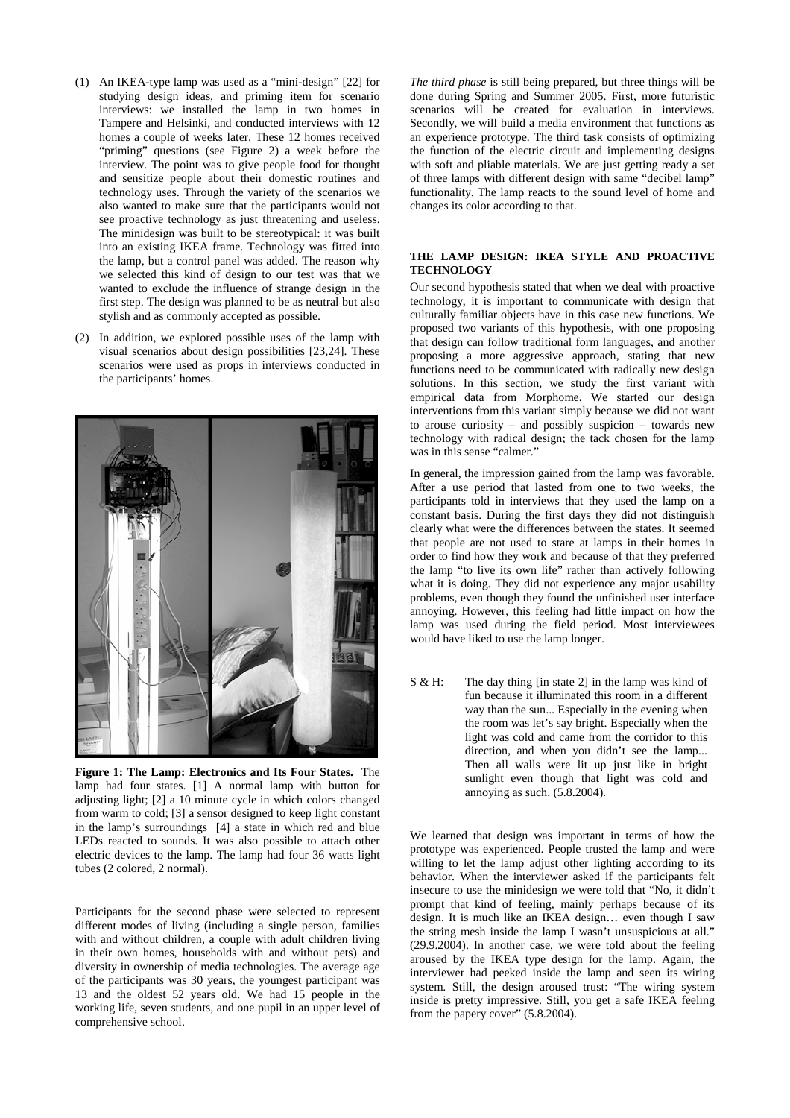- (1) An IKEA-type lamp was used as a "mini-design" [22] for studying design ideas, and priming item for scenario interviews: we installed the lamp in two homes in Tampere and Helsinki, and conducted interviews with 12 homes a couple of weeks later. These 12 homes received "priming" questions (see Figure 2) a week before the interview. The point was to give people food for thought and sensitize people about their domestic routines and technology uses. Through the variety of the scenarios we also wanted to make sure that the participants would not see proactive technology as just threatening and useless. The minidesign was built to be stereotypical: it was built into an existing IKEA frame. Technology was fitted into the lamp, but a control panel was added. The reason why we selected this kind of design to our test was that we wanted to exclude the influence of strange design in the first step. The design was planned to be as neutral but also stylish and as commonly accepted as possible.
- (2) In addition, we explored possible uses of the lamp with visual scenarios about design possibilities [23,24]. These scenarios were used as props in interviews conducted in the participants' homes.



**Figure 1: The Lamp: Electronics and Its Four States.** The lamp had four states. [1] A normal lamp with button for adjusting light; [2] a 10 minute cycle in which colors changed from warm to cold; [3] a sensor designed to keep light constant in the lamp's surroundings [4] a state in which red and blue LEDs reacted to sounds. It was also possible to attach other electric devices to the lamp. The lamp had four 36 watts light tubes (2 colored, 2 normal).

Participants for the second phase were selected to represent different modes of living (including a single person, families with and without children, a couple with adult children living in their own homes, households with and without pets) and diversity in ownership of media technologies. The average age of the participants was 30 years, the youngest participant was 13 and the oldest 52 years old. We had 15 people in the working life, seven students, and one pupil in an upper level of comprehensive school.

*The third phase* is still being prepared, but three things will be done during Spring and Summer 2005. First, more futuristic scenarios will be created for evaluation in interviews. Secondly, we will build a media environment that functions as an experience prototype. The third task consists of optimizing the function of the electric circuit and implementing designs with soft and pliable materials. We are just getting ready a set of three lamps with different design with same "decibel lamp" functionality. The lamp reacts to the sound level of home and changes its color according to that.

#### **THE LAMP DESIGN: IKEA STYLE AND PROACTIVE TECHNOLOGY**

Our second hypothesis stated that when we deal with proactive technology, it is important to communicate with design that culturally familiar objects have in this case new functions. We proposed two variants of this hypothesis, with one proposing that design can follow traditional form languages, and another proposing a more aggressive approach, stating that new functions need to be communicated with radically new design solutions. In this section, we study the first variant with empirical data from Morphome. We started our design interventions from this variant simply because we did not want to arouse curiosity – and possibly suspicion – towards new technology with radical design; the tack chosen for the lamp was in this sense "calmer."

In general, the impression gained from the lamp was favorable. After a use period that lasted from one to two weeks, the participants told in interviews that they used the lamp on a constant basis. During the first days they did not distinguish clearly what were the differences between the states. It seemed that people are not used to stare at lamps in their homes in order to find how they work and because of that they preferred the lamp "to live its own life" rather than actively following what it is doing. They did not experience any major usability problems, even though they found the unfinished user interface annoying. However, this feeling had little impact on how the lamp was used during the field period. Most interviewees would have liked to use the lamp longer.

S & H: The day thing [in state 2] in the lamp was kind of fun because it illuminated this room in a different way than the sun... Especially in the evening when the room was let's say bright. Especially when the light was cold and came from the corridor to this direction, and when you didn't see the lamp... Then all walls were lit up just like in bright sunlight even though that light was cold and annoying as such. (5.8.2004).

We learned that design was important in terms of how the prototype was experienced. People trusted the lamp and were willing to let the lamp adjust other lighting according to its behavior. When the interviewer asked if the participants felt insecure to use the minidesign we were told that "No, it didn't prompt that kind of feeling, mainly perhaps because of its design. It is much like an IKEA design… even though I saw the string mesh inside the lamp I wasn't unsuspicious at all." (29.9.2004). In another case, we were told about the feeling aroused by the IKEA type design for the lamp. Again, the interviewer had peeked inside the lamp and seen its wiring system. Still, the design aroused trust: "The wiring system inside is pretty impressive. Still, you get a safe IKEA feeling from the papery cover" (5.8.2004).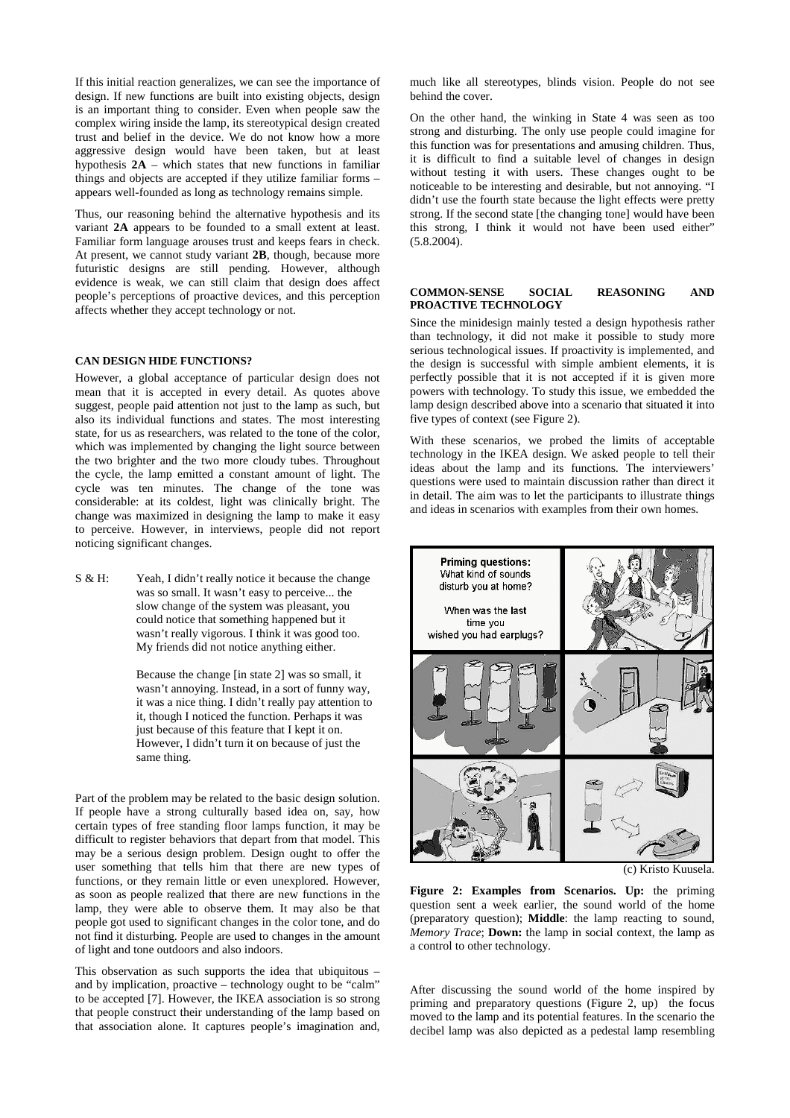If this initial reaction generalizes, we can see the importance of design. If new functions are built into existing objects, design is an important thing to consider. Even when people saw the complex wiring inside the lamp, its stereotypical design created trust and belief in the device. We do not know how a more aggressive design would have been taken, but at least hypothesis **2A** – which states that new functions in familiar things and objects are accepted if they utilize familiar forms – appears well-founded as long as technology remains simple.

Thus, our reasoning behind the alternative hypothesis and its variant **2A** appears to be founded to a small extent at least. Familiar form language arouses trust and keeps fears in check. At present, we cannot study variant **2B**, though, because more futuristic designs are still pending. However, although evidence is weak, we can still claim that design does affect people's perceptions of proactive devices, and this perception affects whether they accept technology or not.

#### **CAN DESIGN HIDE FUNCTIONS?**

However, a global acceptance of particular design does not mean that it is accepted in every detail. As quotes above suggest, people paid attention not just to the lamp as such, but also its individual functions and states. The most interesting state, for us as researchers, was related to the tone of the color, which was implemented by changing the light source between the two brighter and the two more cloudy tubes. Throughout the cycle, the lamp emitted a constant amount of light. The cycle was ten minutes. The change of the tone was considerable: at its coldest, light was clinically bright. The change was maximized in designing the lamp to make it easy to perceive. However, in interviews, people did not report noticing significant changes.

S & H: Yeah, I didn't really notice it because the change was so small. It wasn't easy to perceive... the slow change of the system was pleasant, you could notice that something happened but it wasn't really vigorous. I think it was good too. My friends did not notice anything either.

> Because the change [in state 2] was so small, it wasn't annoying. Instead, in a sort of funny way, it was a nice thing. I didn't really pay attention to it, though I noticed the function. Perhaps it was just because of this feature that I kept it on. However, I didn't turn it on because of just the same thing.

Part of the problem may be related to the basic design solution. If people have a strong culturally based idea on, say, how certain types of free standing floor lamps function, it may be difficult to register behaviors that depart from that model. This may be a serious design problem. Design ought to offer the user something that tells him that there are new types of functions, or they remain little or even unexplored. However, as soon as people realized that there are new functions in the lamp, they were able to observe them. It may also be that people got used to significant changes in the color tone, and do not find it disturbing. People are used to changes in the amount of light and tone outdoors and also indoors.

This observation as such supports the idea that ubiquitous – and by implication, proactive – technology ought to be "calm" to be accepted [7]. However, the IKEA association is so strong that people construct their understanding of the lamp based on that association alone. It captures people's imagination and, much like all stereotypes, blinds vision. People do not see behind the cover.

On the other hand, the winking in State 4 was seen as too strong and disturbing. The only use people could imagine for this function was for presentations and amusing children. Thus, it is difficult to find a suitable level of changes in design without testing it with users. These changes ought to be noticeable to be interesting and desirable, but not annoying. "I didn't use the fourth state because the light effects were pretty strong. If the second state [the changing tone] would have been this strong, I think it would not have been used either" (5.8.2004).

#### **COMMON-SENSE SOCIAL REASONING AND PROACTIVE TECHNOLOGY**

Since the minidesign mainly tested a design hypothesis rather than technology, it did not make it possible to study more serious technological issues. If proactivity is implemented, and the design is successful with simple ambient elements, it is perfectly possible that it is not accepted if it is given more powers with technology. To study this issue, we embedded the lamp design described above into a scenario that situated it into five types of context (see Figure 2).

With these scenarios, we probed the limits of acceptable technology in the IKEA design. We asked people to tell their ideas about the lamp and its functions. The interviewers' questions were used to maintain discussion rather than direct it in detail. The aim was to let the participants to illustrate things and ideas in scenarios with examples from their own homes.



(c) Kristo Kuusela.

**Figure 2: Examples from Scenarios. Up:** the priming question sent a week earlier, the sound world of the home (preparatory question); **Middle**: the lamp reacting to sound, *Memory Trace*; **Down:** the lamp in social context, the lamp as a control to other technology.

After discussing the sound world of the home inspired by priming and preparatory questions (Figure 2, up) the focus moved to the lamp and its potential features. In the scenario the decibel lamp was also depicted as a pedestal lamp resembling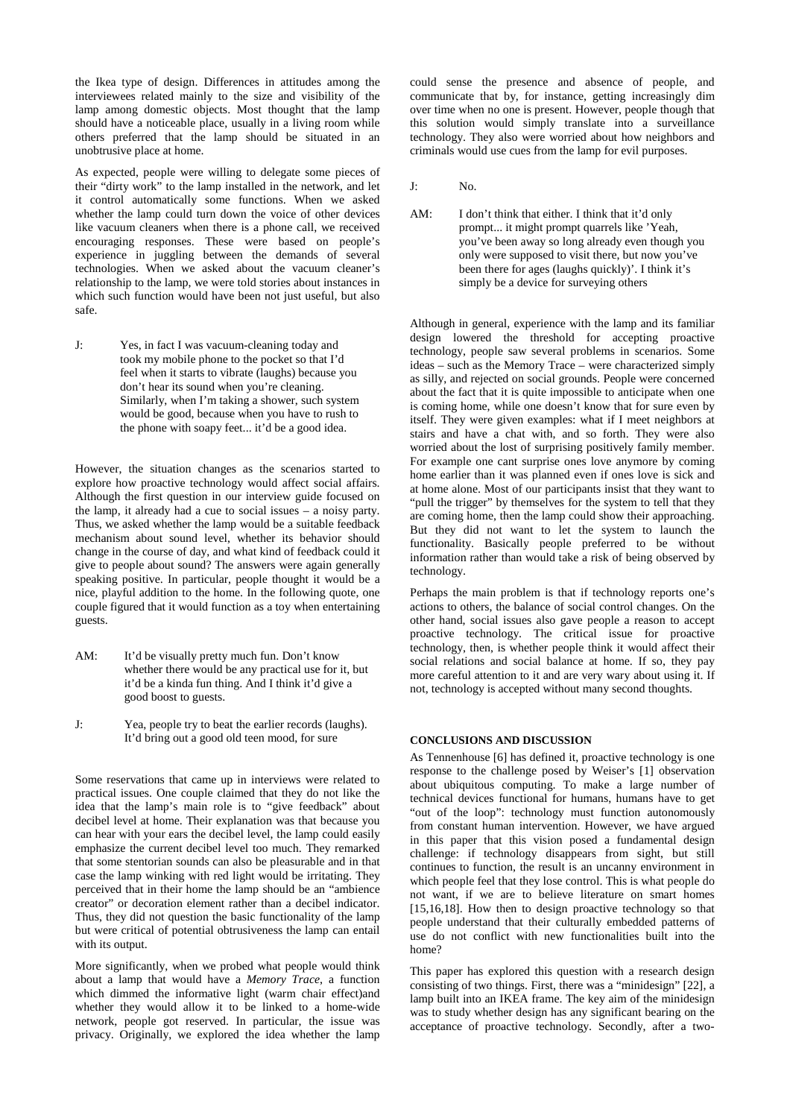the Ikea type of design. Differences in attitudes among the interviewees related mainly to the size and visibility of the lamp among domestic objects. Most thought that the lamp should have a noticeable place, usually in a living room while others preferred that the lamp should be situated in an unobtrusive place at home.

As expected, people were willing to delegate some pieces of their "dirty work" to the lamp installed in the network, and let it control automatically some functions. When we asked whether the lamp could turn down the voice of other devices like vacuum cleaners when there is a phone call, we received encouraging responses. These were based on people's experience in juggling between the demands of several technologies. When we asked about the vacuum cleaner's relationship to the lamp, we were told stories about instances in which such function would have been not just useful, but also safe.

J: Yes, in fact I was vacuum-cleaning today and took my mobile phone to the pocket so that I'd feel when it starts to vibrate (laughs) because you don't hear its sound when you're cleaning. Similarly, when I'm taking a shower, such system would be good, because when you have to rush to the phone with soapy feet... it'd be a good idea.

However, the situation changes as the scenarios started to explore how proactive technology would affect social affairs. Although the first question in our interview guide focused on the lamp, it already had a cue to social issues – a noisy party. Thus, we asked whether the lamp would be a suitable feedback mechanism about sound level, whether its behavior should change in the course of day, and what kind of feedback could it give to people about sound? The answers were again generally speaking positive. In particular, people thought it would be a nice, playful addition to the home. In the following quote, one couple figured that it would function as a toy when entertaining guests.

- AM: It'd be visually pretty much fun. Don't know whether there would be any practical use for it, but it'd be a kinda fun thing. And I think it'd give a good boost to guests.
- J: Yea, people try to beat the earlier records (laughs). It'd bring out a good old teen mood, for sure

Some reservations that came up in interviews were related to practical issues. One couple claimed that they do not like the idea that the lamp's main role is to "give feedback" about decibel level at home. Their explanation was that because you can hear with your ears the decibel level, the lamp could easily emphasize the current decibel level too much. They remarked that some stentorian sounds can also be pleasurable and in that case the lamp winking with red light would be irritating. They perceived that in their home the lamp should be an "ambience creator" or decoration element rather than a decibel indicator. Thus, they did not question the basic functionality of the lamp but were critical of potential obtrusiveness the lamp can entail with its output.

More significantly, when we probed what people would think about a lamp that would have a *Memory Trace*, a function which dimmed the informative light (warm chair effect)and whether they would allow it to be linked to a home-wide network, people got reserved. In particular, the issue was privacy. Originally, we explored the idea whether the lamp could sense the presence and absence of people, and communicate that by, for instance, getting increasingly dim over time when no one is present. However, people though that this solution would simply translate into a surveillance technology. They also were worried about how neighbors and criminals would use cues from the lamp for evil purposes.

- J: No.
- AM: I don't think that either. I think that it'd only prompt... it might prompt quarrels like 'Yeah, you've been away so long already even though you only were supposed to visit there, but now you've been there for ages (laughs quickly)'. I think it's simply be a device for surveying others

Although in general, experience with the lamp and its familiar design lowered the threshold for accepting proactive technology, people saw several problems in scenarios. Some ideas – such as the Memory Trace – were characterized simply as silly, and rejected on social grounds. People were concerned about the fact that it is quite impossible to anticipate when one is coming home, while one doesn't know that for sure even by itself. They were given examples: what if I meet neighbors at stairs and have a chat with, and so forth. They were also worried about the lost of surprising positively family member. For example one cant surprise ones love anymore by coming home earlier than it was planned even if ones love is sick and at home alone. Most of our participants insist that they want to "pull the trigger" by themselves for the system to tell that they are coming home, then the lamp could show their approaching. But they did not want to let the system to launch the functionality. Basically people preferred to be without information rather than would take a risk of being observed by technology.

Perhaps the main problem is that if technology reports one's actions to others, the balance of social control changes. On the other hand, social issues also gave people a reason to accept proactive technology. The critical issue for proactive technology, then, is whether people think it would affect their social relations and social balance at home. If so, they pay more careful attention to it and are very wary about using it. If not, technology is accepted without many second thoughts.

## **CONCLUSIONS AND DISCUSSION**

As Tennenhouse [6] has defined it, proactive technology is one response to the challenge posed by Weiser's [1] observation about ubiquitous computing. To make a large number of technical devices functional for humans, humans have to get "out of the loop": technology must function autonomously from constant human intervention. However, we have argued in this paper that this vision posed a fundamental design challenge: if technology disappears from sight, but still continues to function, the result is an uncanny environment in which people feel that they lose control. This is what people do not want, if we are to believe literature on smart homes [15,16,18]. How then to design proactive technology so that people understand that their culturally embedded patterns of use do not conflict with new functionalities built into the home?

This paper has explored this question with a research design consisting of two things. First, there was a "minidesign" [22], a lamp built into an IKEA frame. The key aim of the minidesign was to study whether design has any significant bearing on the acceptance of proactive technology. Secondly, after a two-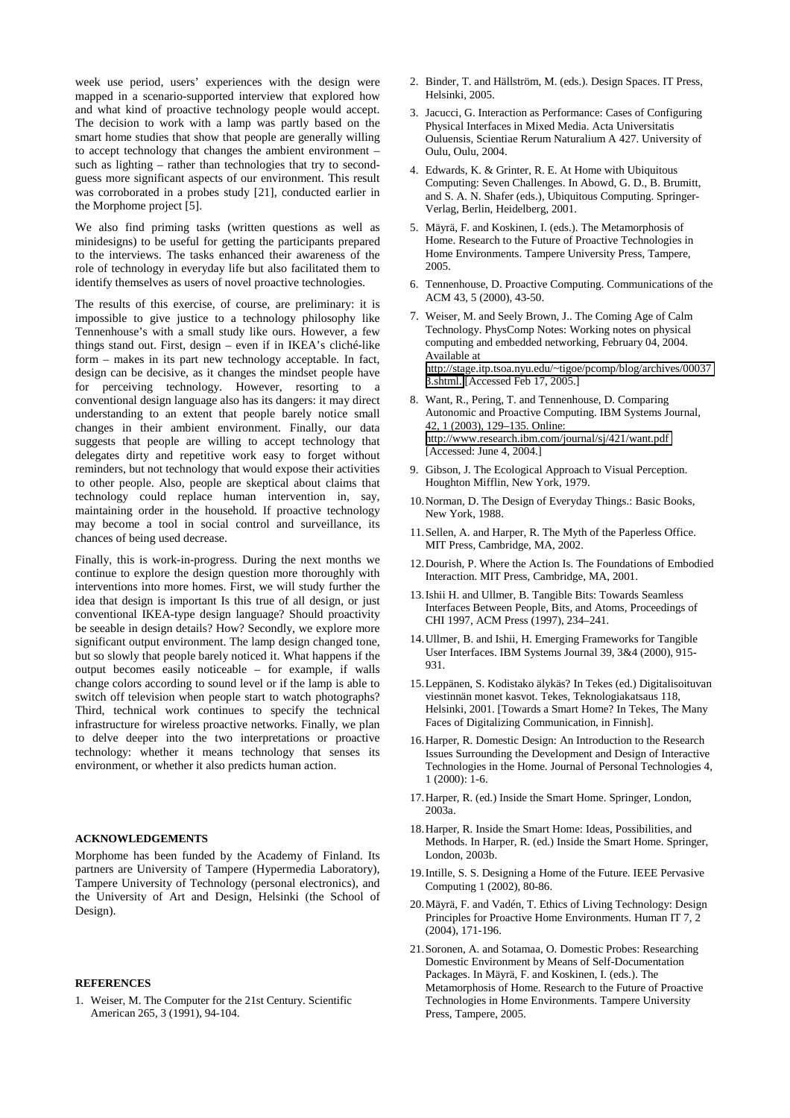week use period, users' experiences with the design were mapped in a scenario-supported interview that explored how and what kind of proactive technology people would accept. The decision to work with a lamp was partly based on the smart home studies that show that people are generally willing to accept technology that changes the ambient environment – such as lighting – rather than technologies that try to secondguess more significant aspects of our environment. This result was corroborated in a probes study [21], conducted earlier in the Morphome project [5].

We also find priming tasks (written questions as well as minidesigns) to be useful for getting the participants prepared to the interviews. The tasks enhanced their awareness of the role of technology in everyday life but also facilitated them to identify themselves as users of novel proactive technologies.

The results of this exercise, of course, are preliminary: it is impossible to give justice to a technology philosophy like Tennenhouse's with a small study like ours. However, a few things stand out. First, design – even if in IKEA's cliché-like form – makes in its part new technology acceptable. In fact, design can be decisive, as it changes the mindset people have for perceiving technology. However, resorting to a conventional design language also has its dangers: it may direct understanding to an extent that people barely notice small changes in their ambient environment. Finally, our data suggests that people are willing to accept technology that delegates dirty and repetitive work easy to forget without reminders, but not technology that would expose their activities to other people. Also, people are skeptical about claims that technology could replace human intervention in, say, maintaining order in the household. If proactive technology may become a tool in social control and surveillance, its chances of being used decrease.

Finally, this is work-in-progress. During the next months we continue to explore the design question more thoroughly with interventions into more homes. First, we will study further the idea that design is important Is this true of all design, or just conventional IKEA-type design language? Should proactivity be seeable in design details? How? Secondly, we explore more significant output environment. The lamp design changed tone, but so slowly that people barely noticed it. What happens if the output becomes easily noticeable – for example, if walls change colors according to sound level or if the lamp is able to switch off television when people start to watch photographs? Third, technical work continues to specify the technical infrastructure for wireless proactive networks. Finally, we plan to delve deeper into the two interpretations or proactive technology: whether it means technology that senses its environment, or whether it also predicts human action.

# **ACKNOWLEDGEMENTS**

Morphome has been funded by the Academy of Finland. Its partners are University of Tampere (Hypermedia Laboratory), Tampere University of Technology (personal electronics), and the University of Art and Design, Helsinki (the School of Design).

## **REFERENCES**

1. Weiser, M. The Computer for the 21st Century. Scientific American 265, 3 (1991), 94-104.

- 2. Binder, T. and Hällström, M. (eds.). Design Spaces. IT Press, Helsinki, 2005.
- 3. Jacucci, G. Interaction as Performance: Cases of Configuring Physical Interfaces in Mixed Media. Acta Universitatis Ouluensis, Scientiae Rerum Naturalium A 427. University of Oulu, Oulu, 2004.
- 4. Edwards, K. & Grinter, R. E. At Home with Ubiquitous Computing: Seven Challenges. In Abowd, G. D., B. Brumitt, and S. A. N. Shafer (eds.), Ubiquitous Computing. Springer-Verlag, Berlin, Heidelberg, 2001.
- 5. Mäyrä, F. and Koskinen, I. (eds.). The Metamorphosis of Home. Research to the Future of Proactive Technologies in Home Environments. Tampere University Press, Tampere, 2005.
- 6. Tennenhouse, D. Proactive Computing. Communications of the ACM 43, 5 (2000), 43-50.
- 7. Weiser, M. and Seely Brown, J.. The Coming Age of Calm Technology. PhysComp Notes: Working notes on physical computing and embedded networking, February 04, 2004. Available at [http://stage.itp.tsoa.nyu.edu/~tigoe/pcomp/blog/archives/00037](http://stage.itp.tsoa.nyu.edu/~tigoe/pcomp/blog/archives/000373.shtml) [3.shtml.](http://stage.itp.tsoa.nyu.edu/~tigoe/pcomp/blog/archives/000373.shtml) [Accessed Feb 17, 2005.]
- 8. Want, R., Pering, T. and Tennenhouse, D. Comparing Autonomic and Proactive Computing. IBM Systems Journal, 42, 1 (2003), 129–135. Online: <http://www.research.ibm.com/journal/sj/421/want.pdf> [Accessed: June 4, 2004.]
- 9. Gibson, J. The Ecological Approach to Visual Perception. Houghton Mifflin, New York, 1979.
- 10.Norman, D. The Design of Everyday Things.: Basic Books, New York, 1988.
- 11.Sellen, A. and Harper, R. The Myth of the Paperless Office. MIT Press, Cambridge, MA, 2002.
- 12.Dourish, P. Where the Action Is. The Foundations of Embodied Interaction. MIT Press, Cambridge, MA, 2001.
- 13.Ishii H. and Ullmer, B. Tangible Bits: Towards Seamless Interfaces Between People, Bits, and Atoms, Proceedings of CHI 1997, ACM Press (1997), 234–241.
- 14.Ullmer, B. and Ishii, H. Emerging Frameworks for Tangible User Interfaces. IBM Systems Journal 39, 3&4 (2000), 915- 931.
- 15.Leppänen, S. Kodistako älykäs? In Tekes (ed.) Digitalisoituvan viestinnän monet kasvot. Tekes, Teknologiakatsaus 118, Helsinki, 2001. [Towards a Smart Home? In Tekes, The Many Faces of Digitalizing Communication, in Finnish].
- 16.Harper, R. Domestic Design: An Introduction to the Research Issues Surrounding the Development and Design of Interactive Technologies in the Home. Journal of Personal Technologies 4, 1 (2000): 1-6.
- 17.Harper, R. (ed.) Inside the Smart Home. Springer, London, 2003a.
- 18.Harper, R. Inside the Smart Home: Ideas, Possibilities, and Methods. In Harper, R. (ed.) Inside the Smart Home. Springer, London, 2003b.
- 19.Intille, S. S. Designing a Home of the Future. IEEE Pervasive Computing 1 (2002), 80-86.
- 20.Mäyrä, F. and Vadén, T. Ethics of Living Technology: Design Principles for Proactive Home Environments. Human IT 7, 2 (2004), 171-196.
- 21.Soronen, A. and Sotamaa, O. Domestic Probes: Researching Domestic Environment by Means of Self-Documentation Packages. In Mäyrä, F. and Koskinen, I. (eds.). The Metamorphosis of Home. Research to the Future of Proactive Technologies in Home Environments. Tampere University Press, Tampere, 2005.